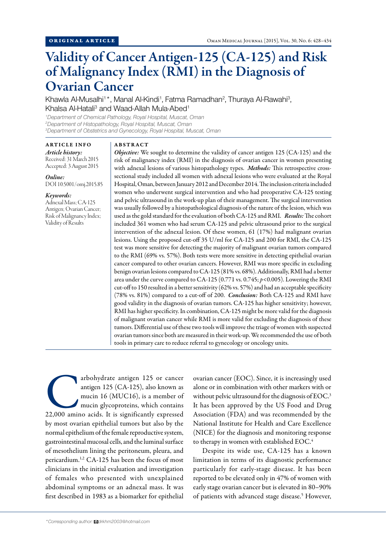# Validity of Cancer Antigen-125 (CA-125) and Risk of Malignancy Index (RMI) in the Diagnosis of Ovarian Cancer

Khawla Al-Musalhi<sup>1\*</sup>, Manal Al-Kindi<sup>1</sup>, Fatma Ramadhan<sup>2</sup>, Thuraya Al-Rawahi<sup>3</sup>, Khalsa Al-Hatali<sup>3</sup> and Waad-Allah Mula-Abed<sup>1</sup>

*1 Department of Chemical Pathology, Royal Hospital, Muscat, Oman 2 Department of Histopathology, Royal Hospital, Muscat, Oman 3 Department of Obstetrics and Gynecology, Royal Hospital, Muscat, Oman*

# ARTICLE INFO

*Article history:*  Received: 31 March 2015 Accepted: 3 August 2015

*Online:* DOI 10.5001/omj.2015.85

#### *Keywords:*

Adnexal Mass; CA-125 Antigen; Ovarian Cancer; Risk of Malignancy Index; Validity of Results

# ABSTRACT

*Objective:* We sought to determine the validity of cancer antigen 125 (CA-125) and the risk of malignancy index (RMI) in the diagnosis of ovarian cancer in women presenting with adnexal lesions of various histopathology types. *Methods:* This retrospective crosssectional study included all women with adnexal lesions who were evaluated at the Royal Hospital, Oman, between January 2012 and December 2014. The inclusion criteria included women who underwent surgical intervention and who had preoperative CA-125 testing and pelvic ultrasound in the work-up plan of their management. The surgical intervention was usually followed by a histopathological diagnosis of the nature of the lesion, which was used as the gold standard for the evaluation of both CA-125 and RMI. *Results:* The cohort included 361 women who had serum CA-125 and pelvic ultrasound prior to the surgical intervention of the adnexal lesion. Of these women, 61 (17%) had malignant ovarian lesions. Using the proposed cut-off 35 U/ml for CA-125 and 200 for RMI, the CA-125 test was more sensitive for detecting the majority of malignant ovarian tumors compared to the RMI (69% vs. 57%). Both tests were more sensitive in detecting epithelial ovarian cancer compared to other ovarian cancers. However, RMI was more specific in excluding benign ovarian lesions compared to CA-125 (81% vs. 68%). Additionally, RMI had a better area under the curve compared to CA-125 (0.771 vs. 0.745; *p<*0.005). Lowering the RMI cut-off to 150 resulted in a better sensitivity (62% vs. 57%) and had an acceptable specificity (78% vs. 81%) compared to a cut-off of 200. *Conclusion:* Both CA-125 and RMI have good validity in the diagnosis of ovarian tumors. CA-125 has higher sensitivity; however, RMI has higher specificity. In combination, CA-125 might be more valid for the diagnosis of malignant ovarian cancer while RMI is more valid for excluding the diagnosis of these tumors. Differential use of these two tools will improve the triage of women with suspected ovarian tumors since both are measured in their work-up. We recommended the use of both tools in primary care to reduce referral to gynecology or oncology units.

arbohydrate antigen 125 or cancer<br>
antigen 125 (CA-125), also known as<br>
mucin 16 (MUC16), is a member of<br>
mucin glycoproteins, which contains<br>
22,000 amino acids. It is significantly expressed antigen 125 (CA-125), also known as mucin 16 (MUC16), is a member of mucin glycoproteins, which contains by most ovarian epithelial tumors but also by the normal epithelium of the female reproductive system, gastrointestinal mucosal cells, and the luminal surface of mesothelium lining the peritoneum, pleura, and pericardium.1,2 CA-125 has been the focus of most clinicians in the initial evaluation and investigation of females who presented with unexplained abdominal symptoms or an adnexal mass. It was first described in 1983 as a biomarker for epithelial

ovarian cancer (EOC). Since, it is increasingly used alone or in combination with other markers with or without pelvic ultrasound for the diagnosis of EOC.<sup>3</sup> It has been approved by the US Food and Drug Association (FDA) and was recommended by the National Institute for Health and Care Excellence (NICE) for the diagnosis and monitoring response to therapy in women with established EOC.<sup>4</sup>

Despite its wide use, CA-125 has a known limitation in terms of its diagnostic performance particularly for early-stage disease. It has been reported to be elevated only in 47% of women with early stage ovarian cancer but is elevated in 80–90% of patients with advanced stage disease.<sup>5</sup> However,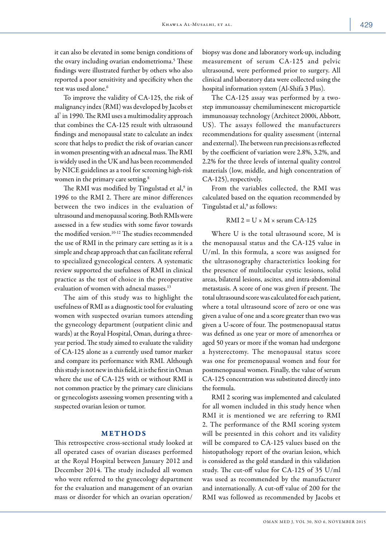it can also be elevated in some benign conditions of the ovary including ovarian endometrioma.<sup>5</sup> These findings were illustrated further by others who also reported a poor sensitivity and specificity when the test was used alone.<sup>6</sup>

To improve the validity of CA-125, the risk of malignancy index (RMI) was developed by Jacobs et al7 in 1990. The RMI uses a multimodality approach that combines the CA-125 result with ultrasound findings and menopausal state to calculate an index score that helps to predict the risk of ovarian cancer in women presenting with an adnexal mass. The RMI is widely used in the UK and has been recommended by NICE guidelines as a tool for screening high-risk women in the primary care setting.<sup>8</sup>

The RMI was modified by Tingulstad et al,<sup>9</sup> in 1996 to the RMI 2. There are minor differences between the two indices in the evaluation of ultrasound and menopausal scoring. Both RMIs were assessed in a few studies with some favor towards the modified version.<sup>10-12</sup> The studies recommended the use of RMI in the primary care setting as it is a simple and cheap approach that can facilitate referral to specialized gynecological centers. A systematic review supported the usefulness of RMI in clinical practice as the test of choice in the preoperative evaluation of women with adnexal masses.<sup>13</sup>

The aim of this study was to highlight the usefulness of RMI as a diagnostic tool for evaluating women with suspected ovarian tumors attending the gynecology department (outpatient clinic and wards) at the Royal Hospital, Oman, during a threeyear period. The study aimed to evaluate the validity of CA-125 alone as a currently used tumor marker and compare its performance with RMI. Although this study is not new in this field, it is the first in Oman where the use of CA-125 with or without RMI is not common practice by the primary care clinicians or gynecologists assessing women presenting with a suspected ovarian lesion or tumor.

### METHODS

This retrospective cross-sectional study looked at all operated cases of ovarian diseases performed at the Royal Hospital between January 2012 and December 2014. The study included all women who were referred to the gynecology department for the evaluation and management of an ovarian mass or disorder for which an ovarian operation/

biopsy was done and laboratory work-up, including measurement of serum CA-125 and pelvic ultrasound, were performed prior to surgery. All clinical and laboratory data were collected using the hospital information system (Al-Shifa 3 Plus).

The CA-125 assay was performed by a twostep immunoassay chemiluminescent microparticle immunoassay technology (Architect 2000i, Abbott, US). The assays followed the manufacturers recommendations for quality assessment (internal and external). The between run precisions as reflected by the coefficient of variation were 2.8%, 3.2%, and 2.2% for the three levels of internal quality control materials (low, middle, and high concentration of CA-125), respectively.

From the variables collected, the RMI was calculated based on the equation recommended by Tingulstad et al,<sup>9</sup> as follows:

### RMI 2 =  $U \times M \times$  serum CA-125

Where U is the total ultrasound score, M is the menopausal status and the CA-125 value in U/ml. In this formula, a score was assigned for the ultrasonography characteristics looking for the presence of multilocular cystic lesions, solid areas, bilateral lesions, ascites, and intra-abdominal metastasis. A score of one was given if present. The total ultrasound score was calculated for each patient, where a total ultrasound score of zero or one was given a value of one and a score greater than two was given a U-score of four. The postmenopausal status was defined as one year or more of amenorrhea or aged 50 years or more if the woman had undergone a hysterectomy. The menopausal status score was one for premenopausal women and four for postmenopausal women. Finally, the value of serum CA-125 concentration was substituted directly into the formula.

RMI 2 scoring was implemented and calculated for all women included in this study hence when RMI it is mentioned we are referring to RMI 2. The performance of the RMI scoring system will be presented in this cohort and its validity will be compared to CA-125 values based on the histopathology report of the ovarian lesion, which is considered as the gold standard in this validation study. The cut-off value for CA-125 of 35 U/ml was used as recommended by the manufacturer and internationally. A cut-off value of 200 for the RMI was followed as recommended by Jacobs et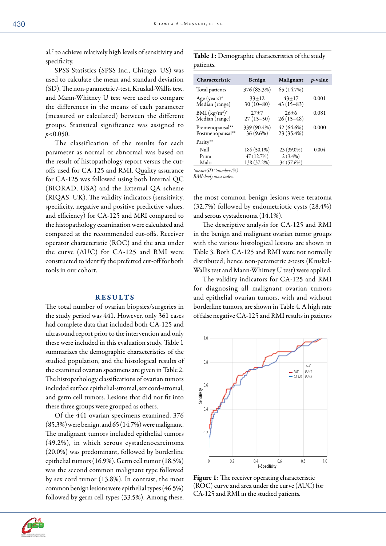al, $^7$  to achieve relatively high levels of sensitivity and specificity.

SPSS Statistics (SPSS Inc., Chicago, US) was used to calculate the mean and standard deviation (SD). The non-parametric *t*-test, Kruskal-Wallis test, and Mann-Whitney U test were used to compare the differences in the means of each parameter (measured or calculated) between the different groups. Statistical significance was assigned to *p<*0.050.

The classification of the results for each parameter as normal or abnormal was based on the result of histopathology report versus the cutoffs used for CA-125 and RMI. Quality assurance for CA-125 was followed using both Internal QC (BIORAD, USA) and the External QA scheme (RIQAS, UK). The validity indicators (sensitivity, specificity, negative and positive predictive values, and efficiency) for CA-125 and MRI compared to the histopathology examination were calculated and compared at the recommended cut-offs. Receiver operator characteristic (ROC) and the area under the curve (AUC) for CA-125 and RMI were constructed to identify the preferred cut-off for both tools in our cohort.

## **RESULTS**

The total number of ovarian biopsies/surgeries in the study period was 441. However, only 361 cases had complete data that included both CA-125 and ultrasound report prior to the intervention and only these were included in this evaluation study. Table 1 summarizes the demographic characteristics of the studied population, and the histological results of the examined ovarian specimens are given in Table 2. The histopathology classifications of ovarian tumors included surface epithelial-stromal, sex cord-stromal, and germ cell tumors. Lesions that did not fit into these three groups were grouped as others.

Of the 441 ovarian specimens examined, 376 (85.3%) were benign, and 65 (14.7%) were malignant. The malignant tumors included epithelial tumors (49.2%), in which serous cystadenocarcinoma (20.0%) was predominant, followed by borderline epithelial tumors (16.9%). Germ cell tumor (18.5%) was the second common malignant type followed by sex cord tumor (13.8%). In contrast, the most common benign lesions were epithelial types (46.5%) followed by germ cell types (33.5%). Among these,

Table 1: Demographic characteristics of the study patients.

| Characteristic                      | Benign                     | Malignant                | $p$ -value |
|-------------------------------------|----------------------------|--------------------------|------------|
| Total patients                      | 376 (85.3%)                | 65 (14.7%)               |            |
| Age (years) $*$<br>Median (range)   | $33+12$<br>$30(10-80)$     | $43+17$<br>$43(15-83)$   | 0.001      |
| $BMI (kg/m2)*$<br>Median (range)    | $27+7$<br>$27(15-50)$      | $26+6$<br>$26(15-48)$    | 0.081      |
| Premenopausal**<br>Postmenopausal** | 339 (90.4%)<br>$36(9.6\%)$ | 42 (64.6%)<br>23 (35.4%) | 0.000      |
| Parity**                            |                            |                          |            |
| Null                                | 186 (50.1%)                | 23 (39.0%)               | 0.004      |
| Primi                               | 47 (12.7%)                 | $2(3.4\%)$               |            |
| Multi                               | 138 (37.2%)                | 34 (57.6%)               |            |
| *mean±SD.**number (%).              |                            |                          |            |

*BMI: body mass index.*

the most common benign lesions were teratoma (32.7%) followed by endometriotic cysts (28.4%) and serous cystadenoma (14.1%).

The descriptive analysis for CA-125 and RMI in the benign and malignant ovarian tumor groups with the various histological lesions are shown in Table 3. Both CA-125 and RMI were not normally distributed; hence non-parametric *t*-tests (Kruskal-Wallis test and Mann-Whitney U test) were applied.

The validity indicators for CA-125 and RMI for diagnosing all malignant ovarian tumors and epithelial ovarian tumors, with and without borderline tumors, are shown in Table 4. A high rate of false negative CA-125 and RMI results in patients





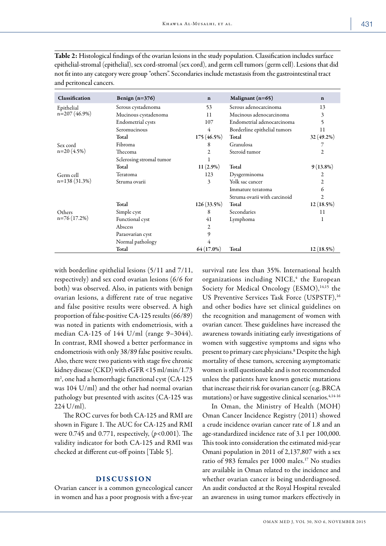| Classification              | Benign $(n=376)$             | $\mathbf n$                       | Malignant $(n=65)$           | $\mathbf n$    |
|-----------------------------|------------------------------|-----------------------------------|------------------------------|----------------|
| Epithelial                  | Serous cystadenoma           | 53                                | Serous adenocarcinoma        | 13             |
| n=207 (46.9%)               | Mucinous cystadenoma         | 11                                | Mucinous adenocarcinoma      | 3              |
|                             | Endometrial cysts            | Endometrial adenocarcinoma<br>107 |                              | 5              |
|                             | Seromucinous                 | Borderline epithelial tumors<br>4 |                              | 11             |
|                             | 175(46.5%)<br>Total<br>Total |                                   |                              | 32 (49.2%)     |
| Sex cord                    | Fibroma                      | 8                                 | Granulosa                    | 7              |
| $n=20(4.5%)$                | Thecoma                      | 2                                 | Steroid tumor                | 2              |
|                             | Sclerosing stromal tumor     | 1                                 |                              |                |
|                             | Total                        | $11(2.9\%)$                       | Total                        | $9(13.8\%)$    |
| Germ cell<br>$n=138(31.3%)$ | Teratoma                     | 123                               | Dysgerminoma                 | 2              |
|                             | Struma ovarii                | 3                                 | Yolk sac cancer              | 2              |
|                             |                              |                                   | Immature teratoma            | 6              |
|                             |                              |                                   | Struma ovarii with carcinoid | $\overline{c}$ |
|                             | Total                        | 126(33.5%)                        | Total                        | 12(18.5%)      |
| Others<br>$n=76(17.2%)$     | Simple cyst                  | 8                                 | Secondaries                  | 11             |
|                             | Functional cyst              | 41                                | Lymphoma                     | 1              |
|                             | Abscess                      | 2                                 |                              |                |
|                             | Paraovarian cyst             | 9                                 |                              |                |
|                             | Normal pathology             | 4                                 |                              |                |
|                             | Total                        | 64 (17.0%)                        | Total                        | $12(18.5\%)$   |

Table 2: Histological findings of the ovarian lesions in the study population. Classification includes surface epithelial-stromal (epithelial), sex cord-stromal (sex cord), and germ cell tumors (germ cell). Lesions that did not fit into any category were group "others". Secondaries include metastasis from the gastrointestinal tract and peritoneal cancers.

with borderline epithelial lesions (5/11 and 7/11, respectively) and sex cord ovarian lesions (6/6 for both) was observed. Also, in patients with benign ovarian lesions, a different rate of true negative and false positive results were observed. A high proportion of false-positive CA-125 results (66/89) was noted in patients with endometriosis, with a median CA-125 of 144 U/ml (range 9–3044). In contrast, RMI showed a better performance in endometriosis with only 38/89 false positive results. Also, there were two patients with stage five chronic kidney disease (CKD) with eGFR <15 ml/min/1.73 m2 , one had a hemorrhagic functional cyst (CA-125 was 104 U/ml) and the other had normal ovarian pathology but presented with ascites (CA-125 was 224 U/ml).

The ROC curves for both CA-125 and RMI are shown in Figure 1. The AUC for CA-125 and RMI were 0.745 and 0.771, respectively, (*p<*0.001). The validity indicator for both CA-125 and RMI was checked at different cut-off points [Table 5].

# DISCUSSION

Ovarian cancer is a common gynecological cancer in women and has a poor prognosis with a five-year survival rate less than 35%. International health organizations including NICE,<sup>4</sup> the European Society for Medical Oncology (ESMO),<sup>14,15</sup> the US Preventive Services Task Force (USPSTF),<sup>16</sup> and other bodies have set clinical guidelines on the recognition and management of women with ovarian cancer. These guidelines have increased the awareness towards initiating early investigations of women with suggestive symptoms and signs who present to primary care physicians.<sup>8</sup> Despite the high mortality of these tumors, screening asymptomatic women is still questionable and is not recommended unless the patients have known genetic mutations that increase their risk for ovarian cancer (e.g. BRCA mutations) or have suggestive clinical scenarios.<sup>4,14-16</sup>

In Oman, the Ministry of Health (MOH) Oman Cancer Incidence Registry (2011) showed a crude incidence ovarian cancer rate of 1.8 and an age-standardized incidence rate of 3.1 per 100,000. This took into consideration the estimated mid-year Omani population in 2011 of 2,137,807 with a sex ratio of 983 females per 1000 males.17 No studies are available in Oman related to the incidence and whether ovarian cancer is being underdiagnosed. An audit conducted at the Royal Hospital revealed an awareness in using tumor markers effectively in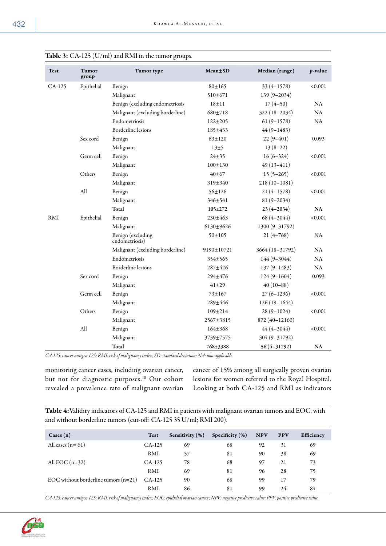| <b>Test</b> | Tumor<br>group | Tumor type                          | $Mean \pm SD$ | Median (range)  | p-value       |
|-------------|----------------|-------------------------------------|---------------|-----------------|---------------|
| CA-125      | Epithelial     | Benign                              | $80 + 165$    | $33(4 - 1578)$  | < 0.001       |
|             |                | Malignant                           | 510±671       | 139 (9-2034)    |               |
|             |                | Benign (excluding endometriosis     | $18 + 11$     | $17(4-50)$      | NA            |
|             |                | Malignant (excluding borderline)    | $680 + 718$   | 322 (18-2034)   | NA            |
|             |                | Endometriosis                       | $122 \pm 205$ | $61(9-1578)$    | $\rm NA$      |
|             |                | <b>Borderline</b> lesions           | 185±433       | $44(9 - 1483)$  |               |
|             | Sex cord       | Benign                              | $63 + 120$    | $22(9-401)$     | 0.093         |
|             |                | Malignant                           | $13\pm5$      | $13(8-22)$      |               |
|             | Germ cell      | Benign                              | $24 + 35$     | $16(6-324)$     | < 0.001       |
|             |                | Malignant                           | $100 + 130$   | $49(13 - 411)$  |               |
|             | Others         | Benign                              | $40 + 67$     | $15(5-265)$     | < 0.001       |
|             |                | Malignant                           | 319±340       | $218(10-1081)$  |               |
|             | All            | Benign                              | $56 \pm 126$  | $21(4-1578)$    | < 0.001       |
|             |                | Malignant                           | 346±541       | $81(9 - 2034)$  |               |
|             |                | Total                               | 105±272       | $23(4 - 2034)$  | $\mathbf{NA}$ |
| RMI         | Epithelial     | Benign                              | 230±463       | $68(4 - 3044)$  | < 0.001       |
|             |                | Malignant                           | 6130±9626     | 1300 (9-31792)  |               |
|             |                | Benign (excluding<br>endometriosis) | $50 + 105$    | $21(4 - 768)$   | NA            |
|             |                | Malignant (excluding borderline)    | 9190±10721    | 3664 (18-31792) | <b>NA</b>     |
|             |                | Endometriosis                       | 354±565       | 144 (9-3044)    | NA            |
|             |                | Borderline lesions                  | 287±426       | $137(9 - 1483)$ | NA            |
|             | Sex cord       | Benign                              | 294±476       | $124(9 - 1604)$ | 0.093         |
|             |                | Malignant                           | $41 + 29$     | $40(10-88)$     |               |
|             | Germ cell      | Benign                              | $73 + 167$    | $27(6-1296)$    | < 0.001       |
|             |                | Malignant                           | 289±446       | $126(19-1644)$  |               |
|             | Others         | Benign                              | 109±214       | $28(9 - 1024)$  | < 0.001       |
|             |                | Malignant                           | 2567±3815     | 872 (40-12160)  |               |
|             | All            | Benign                              | $164 + 368$   | $44(4 - 3044)$  | < 0.001       |
|             |                | Malignant                           | 3739±7575     | 304 (9-31792)   |               |
|             |                | Total                               | 768±3388      | $56(4 - 31792)$ | <b>NA</b>     |

|  | <b>Table 3:</b> $CA-125$ $(U/ml)$ and RMI in the tumor groups. |
|--|----------------------------------------------------------------|
|--|----------------------------------------------------------------|

*CA-125: cancer antigen 125; RMI: risk of malignancy index; SD: standard deviation; NA: non-applicable*

monitoring cancer cases, including ovarian cancer, but not for diagnostic purposes.<sup>18</sup> Our cohort revealed a prevalence rate of malignant ovarian

cancer of 15% among all surgically proven ovarian lesions for women referred to the Royal Hospital. Looking at both CA-125 and RMI as indicators

Table 4:Validity indicators of CA-125 and RMI in patients with malignant ovarian tumors and EOC, with and without borderline tumors (cut-off: CA-125 35 U/ml; RMI 200).

| $\text{Cases}(\text{n})$               | <b>Test</b> | Sensitivity (%) | Specificity $(\% )$ | <b>NPV</b> | <b>PPV</b> | Efficiency |
|----------------------------------------|-------------|-----------------|---------------------|------------|------------|------------|
| All cases $(n=61)$                     | $CA-125$    | 69              | 68                  | 92         | 31         | 69         |
|                                        | RMI         | 57              | 81                  | 90         | 38         | 69         |
| All EOC $(n=32)$                       | $CA-125$    | 78              | 68                  | 97         | 21         | 73         |
|                                        | RMI         | 69              | 81                  | 96         | 28         | 75         |
| EOC without borderline tumors $(n=21)$ | $CA-125$    | 90              | 68                  | 99         | 17         | 79         |
|                                        | RMI         | 86              | 81                  | 99         | 24         | 84         |

*CA-125: cancer antigen 125; RMI: risk of malignancy index; EOC: epithelial ovarian cancer; NPV: negative predictive value; PPV: positive predictive value.*

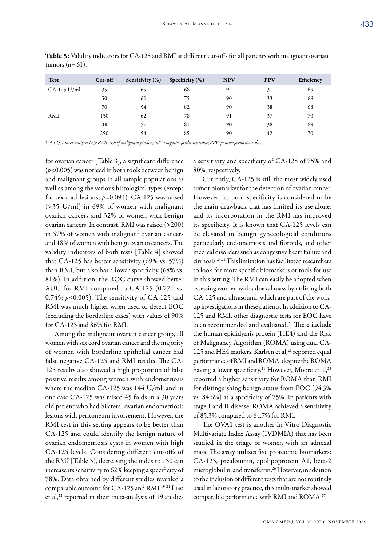| <b>Test</b>   | $Cut$ -off | Sensitivity (%) | Specificity $(\%)$ | <b>NPV</b> | <b>PPV</b> | Efficiency |
|---------------|------------|-----------------|--------------------|------------|------------|------------|
| $CA-125$ U/ml | 35         | 69              | 68                 | 92         | 31         | 69         |
|               | 50         | 61              | 75                 | 90         | 33         | 68         |
|               | 70         | 54              | 82                 | 90         | 38         | 68         |
| RMI           | 150        | 62              | 78                 | 91         | 37         | 70         |
|               | 200        | 57              | 81                 | 90         | 38         | 69         |
|               | 250        | 54              | 85                 | 90         | 42         | 70         |

Table 5: Validity indicators for CA-125 and RMI at different cut-offs for all patients with malignant ovarian tumors  $(n=61)$ .

*CA-125: cancer antigen 125; RMI: risk of malignancy index; NPV: negative predictive value; PPV: positive predictive value .*

for ovarian cancer [Table 3], a significant difference (*p<*0.005) was noticed in both tools between benign and malignant groups in all sample populations as well as among the various histological types (except for sex cord lesions; *p=*0.094). CA-125 was raised (>35 U/ml) in 69% of women with malignant ovarian cancers and 32% of women with benign ovarian cancers. In contrast, RMI was raised (>200) in 57% of women with malignant ovarian cancers and 18% of women with benign ovarian cancers. The validity indicators of both tests [Table 4] showed that CA-125 has better sensitivity (69% vs. 57%) than RMI, but also has a lower specificity (68% vs. 81%). In addition, the ROC curve showed better AUC for RMI compared to CA-125 (0.771 vs. 0.745; *p<*0.005). The sensitivity of CA-125 and RMI was much higher when used to detect EOC (excluding the borderline cases) with values of 90% for CA-125 and 86% for RMI.

Among the malignant ovarian cancer group, all women with sex cord ovarian cancer and the majority of women with borderline epithelial cancer had false negative CA-125 and RMI results. The CA-125 results also showed a high proportion of false positive results among women with endometriosis where the median CA-125 was 144 U/ml, and in one case CA-125 was raised 45 folds in a 30 years old patient who had bilateral ovarian endometriosis lesions with peritoneum involvement. However, the RMI test in this setting appears to be better than CA-125 and could identify the benign nature of ovarian endometriosis cysts in women with high CA-125 levels. Considering different cut-offs of the RMI [Table 5], decreasing the index to 150 can increase its sensitivity to 62% keeping a specificity of 78%. Data obtained by different studies revealed a comparable outcome for CA-125 and RMI.<sup>19-21</sup> Liao et al,<sup>22</sup> reported in their meta-analysis of 19 studies

a sensitivity and specificity of CA-125 of 75% and 80%, respectively.

Currently, CA-125 is still the most widely used tumor biomarker for the detection of ovarian cancer. However, its poor specificity is considered to be the main drawback that has limited its use alone, and its incorporation in the RMI has improved its specificity. It is known that CA-125 levels can be elevated in benign gynecological conditions particularly endometriosis and fibroids, and other medical disorders such as congestive heart failure and cirrhosis.23,24 This limitation has facilitated researchers to look for more specific biomarkers or tools for use in this setting. The RMI can easily be adopted when assessing women with adnexal mass by utilizing both CA-125 and ultrasound, which are part of the workup investigations in these patients. In addition to CA-125 and RMI, other diagnostic tests for EOC have been recommended and evaluated.<sup>21</sup> These include the human epididymis protein (HE4) and the Risk of Malignancy Algorithm (ROMA) using dual CA-125 and HE4 markers. Karlsen et al,<sup>21</sup> reported equal performance of RMI and ROMA, despite the ROMA having a lower specificity.<sup>21</sup> However, Moore et al,<sup>25</sup> reported a higher sensitivity for ROMA than RMI for distinguishing benign status from EOC (94.3% vs. 84.6%) at a specificity of 75%. In patients with stage I and II disease, ROMA achieved a sensitivity of 85.3% compared to 64.7% for RMI.

The OVA1 test is another In Vitro Diagnostic Multivariate Index Assay (IVDMIA) that has been studied in the triage of women with an adnexal mass. The assay utilizes five proteomic biomarkers: CA-125, prealbumin, apolipoprotein A1, beta-2 microglobulin, and transferrin.26 However, in addition to the inclusion of different tests that are not routinely used in laboratory practice, this multi-marker showed comparable performance with RMI and ROMA.<sup>27</sup>